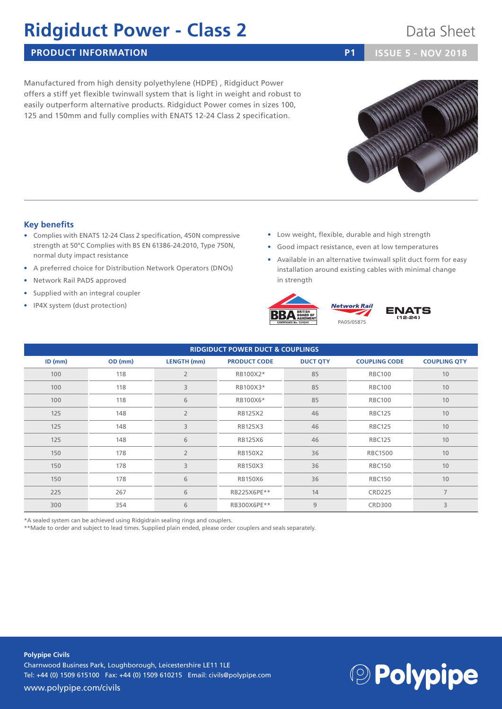## **Ridgiduct Power - Class 2** Data Sheet

### **PRODUCT INFORMATION P1 ISSUE** 5 - NOV **2018**

Manufactured from high density polyethylene (HDPE) , Ridgiduct Power offers a stiff yet flexible twinwall system that is light in weight and robust to easily outperform alternative products. Ridgiduct Power comes in sizes 100, 125 and 150mm and fully complies with ENATS 12-24 Class 2 specification.

### **Key benefits**

- Complies with ENATS 12-24 Class 2 specification, 450N compressive strength at 50°C Complies with BS EN 61386-24:2010, Type 750N, normal duty impact resistance
- A preferred choice for Distribution Network Operators (DNOs)
- Network Rail PADS approved
- Supplied with an integral coupler
- IP4X system (dust protection)
- Low weight, flexible, durable and high strength
- Good impact resistance, even at low temperatures
- Available in an alternative twinwall split duct form for easy installation around existing cables with minimal change in strength





| <b>RIDGIDUCT POWER DUCT &amp; COUPLINGS</b> |         |                    |                     |                 |                      |                     |  |  |  |
|---------------------------------------------|---------|--------------------|---------------------|-----------------|----------------------|---------------------|--|--|--|
| $ID$ (mm)                                   | OD (mm) | <b>LENGTH</b> (mm) | <b>PRODUCT CODE</b> | <b>DUCT QTY</b> | <b>COUPLING CODE</b> | <b>COUPLING QTY</b> |  |  |  |
| 100                                         | 118     | $\overline{2}$     | RB100X2*            | 85              | <b>RBC100</b>        | 10                  |  |  |  |
| 100                                         | 118     | 3                  | RB100X3*            | 85              | <b>RBC100</b>        | 10                  |  |  |  |
| 100                                         | 118     | 6                  | RB100X6*            | 85              | <b>RBC100</b>        | 10                  |  |  |  |
| 125                                         | 148     | $\overline{2}$     | RB125X2             | 46              | <b>RBC125</b>        | 10                  |  |  |  |
| 125                                         | 148     | 3                  | RB125X3             | 46              | <b>RBC125</b>        | 10                  |  |  |  |
| 125                                         | 148     | 6                  | RB125X6             | 46              | <b>RBC125</b>        | 10                  |  |  |  |
| 150                                         | 178     | $\overline{2}$     | <b>RB150X2</b>      | 36              | <b>RBC1500</b>       | 10                  |  |  |  |
| 150                                         | 178     | 3                  | RB150X3             | 36              | <b>RBC150</b>        | 10                  |  |  |  |
| 150                                         | 178     | 6                  | <b>RB150X6</b>      | 36              | <b>RBC150</b>        | 10                  |  |  |  |
| 225                                         | 267     | 6                  | RB225X6PE**         | 14              | <b>CRD225</b>        | $\overline{7}$      |  |  |  |
| 300                                         | 354     | 6                  | RB300X6PE**         | 9               | <b>CRD300</b>        | 3                   |  |  |  |

\*A sealed system can be achieved using Ridgidrain sealing rings and couplers.

\*\*Made to order and subject to lead times. Supplied plain ended, please order couplers and seals separately.

**Polypipe Civils** Charnwood Business Park, Loughborough, Leicestershire LE11 1LE Tel: +44 (0) 1509 615100 Fax: +44 (0) 1509 610215 Email: civils@polypipe.com www.polypipe.com/civils